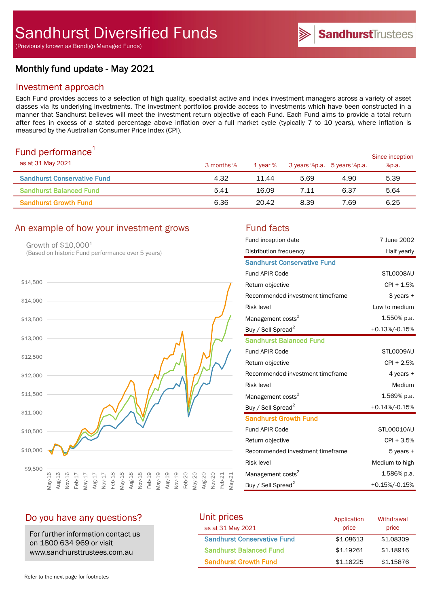(Previously known as Bendigo Managed Funds)

# Monthly fund update - May 2021

## Investment approach

Each Fund provides access to a selection of high quality, specialist active and index investment managers across a variety of asset classes via its underlying investments. The investment portfolios provide access to investments which have been constructed in a manner that Sandhurst believes will meet the investment return objective of each Fund. Each Fund aims to provide a total return after fees in excess of a stated percentage above inflation over a full market cycle (typically 7 to 10 years), where inflation is measured by the Australian Consumer Price Index (CPI).

# Fund performance $1$

| as at 31 May 2021                  | 3 months % | 1 vear % | 3 years %p.a. 5 years %p.a. |      | Since inception<br>%p.a. |
|------------------------------------|------------|----------|-----------------------------|------|--------------------------|
| <b>Sandhurst Conservative Fund</b> | 4.32       | 11.44    | 5.69                        | 4.90 | 5.39                     |
| <b>Sandhurst Balanced Fund</b>     | 5.41       | 16.09    | 7.11                        | 6.37 | 5.64                     |
| <b>Sandhurst Growth Fund</b>       | 6.36       | 20.42    | 8.39                        | 7.69 | 6.25                     |

# An example of how your investment grows Fund facts

Growth of \$10,0001 (Based on historic Fund performance over 5 years)



| Fund inception date                | 7 June 2002    |
|------------------------------------|----------------|
| Distribution frequency             | Half yearly    |
| <b>Sandhurst Conservative Fund</b> |                |
| <b>Fund APIR Code</b>              | STLO008AU      |
| Return objective                   | $CPI + 1.5%$   |
| Recommended investment timeframe   | 3 years +      |
| <b>Risk level</b>                  | Low to medium  |
| Management costs <sup>2</sup>      | 1.550% p.a.    |
| Buy / Sell Spread <sup>2</sup>     | +0.13%/-0.15%  |
| <b>Sandhurst Balanced Fund</b>     |                |
| <b>Fund APIR Code</b>              | STLO009AU      |
| Return objective                   | $CPI + 2.5%$   |
| Recommended investment timeframe   | 4 years +      |
| <b>Risk level</b>                  | Medium         |
| Management costs <sup>2</sup>      | 1.569% p.a.    |
| Buy / Sell Spread <sup>2</sup>     | +0.14%/-0.15%  |
| <b>Sandhurst Growth Fund</b>       |                |
| <b>Fund APIR Code</b>              | STL00010AU     |
| Return objective                   | $CPI + 3.5%$   |
| Recommended investment timeframe   | $5$ years $+$  |
| <b>Risk level</b>                  | Medium to high |
| Management costs <sup>2</sup>      | 1.586% p.a.    |
| Buy / Sell Spread <sup>2</sup>     | +0.15%/-0.15%  |

# Do you have any questions?

For further information contact us on 1800 634 969 or visit www.sandhursttrustees.com.au

| Unit prices                        | Application | Withdrawal |
|------------------------------------|-------------|------------|
| as at 31 May 2021                  | price       | price      |
| <b>Sandhurst Conservative Fund</b> | \$1,08613   | \$1,08309  |
| <b>Sandhurst Balanced Fund</b>     | \$1.19261   | \$1,18916  |
| <b>Sandhurst Growth Fund</b>       | \$1,16225   | \$1,15876  |